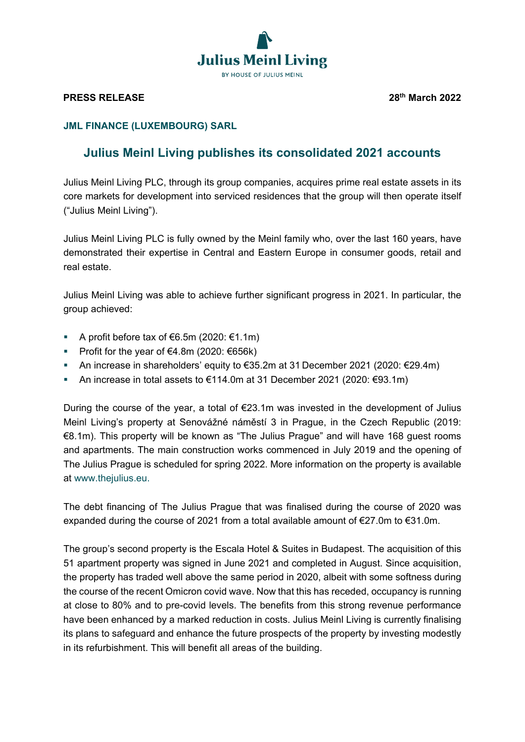

## **PRESS RELEASE 28th March 2022**

## **JML FINANCE (LUXEMBOURG) SARL**

## **Julius Meinl Living publishes its consolidated 2021 accounts**

Julius Meinl Living PLC, through its group companies, acquires prime real estate assets in its core markets for development into serviced residences that the group will then operate itself ("Julius Meinl Living").

Julius Meinl Living PLC is fully owned by the Meinl family who, over the last 160 years, have demonstrated their expertise in Central and Eastern Europe in consumer goods, retail and real estate.

Julius Meinl Living was able to achieve further significant progress in 2021. In particular, the group achieved:

- A profit before tax of €6.5m (2020: €1.1m)
- Profit for the year of  $€4.8m$  (2020:  $€656k$ )
- An increase in shareholders' equity to €35.2m at 31 December 2021 (2020: €29.4m)
- An increase in total assets to  $€114.0m$  at 31 December 2021 (2020:  $€93.1m$ )

During the course of the year, a total of  $E$ 23.1m was invested in the development of Julius Meinl Living's property at Senovážné náměstí 3 in Prague, in the Czech Republic (2019: €8.1m). This property will be known as "The Julius Prague" and will have 168 guest rooms and apartments. The main construction works commenced in July 2019 and the opening of The Julius Prague is scheduled for spring 2022. More information on the property is available at [www.thejulius.eu.](about:blank)

The debt financing of The Julius Prague that was finalised during the course of 2020 was expanded during the course of 2021 from a total available amount of €27.0m to €31.0m.

The group's second property is the Escala Hotel & Suites in Budapest. The acquisition of this 51 apartment property was signed in June 2021 and completed in August. Since acquisition, the property has traded well above the same period in 2020, albeit with some softness during the course of the recent Omicron covid wave. Now that this has receded, occupancy is running at close to 80% and to pre-covid levels. The benefits from this strong revenue performance have been enhanced by a marked reduction in costs. Julius Meinl Living is currently finalising its plans to safeguard and enhance the future prospects of the property by investing modestly in its refurbishment. This will benefit all areas of the building.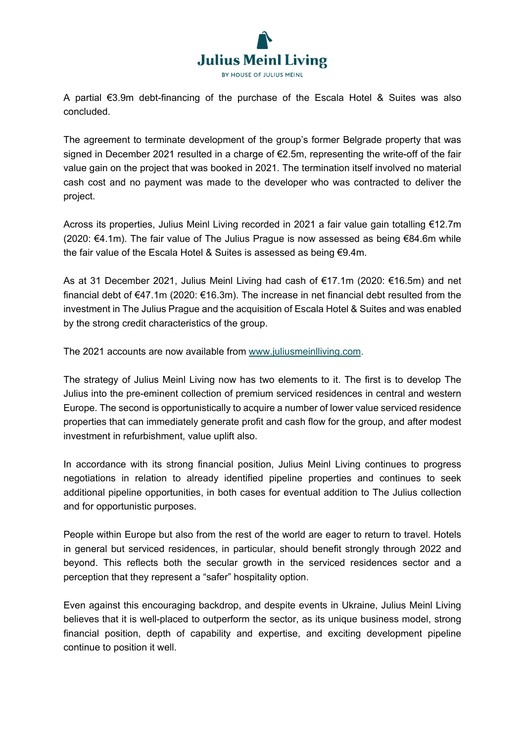

A partial €3.9m debt-financing of the purchase of the Escala Hotel & Suites was also concluded.

The agreement to terminate development of the group's former Belgrade property that was signed in December 2021 resulted in a charge of €2.5m, representing the write-off of the fair value gain on the project that was booked in 2021. The termination itself involved no material cash cost and no payment was made to the developer who was contracted to deliver the project.

Across its properties, Julius Meinl Living recorded in 2021 a fair value gain totalling €12.7m (2020: €4.1m). The fair value of The Julius Prague is now assessed as being €84.6m while the fair value of the Escala Hotel & Suites is assessed as being €9.4m.

As at 31 December 2021, Julius Meinl Living had cash of €17.1m (2020: €16.5m) and net financial debt of €47.1m (2020: €16.3m). The increase in net financial debt resulted from the investment in The Julius Prague and the acquisition of Escala Hotel & Suites and was enabled by the strong credit characteristics of the group.

The 2021 accounts are now available from [www.juliusmeinlliving.com.](about:blank)

The strategy of Julius Meinl Living now has two elements to it. The first is to develop The Julius into the pre-eminent collection of premium serviced residences in central and western Europe. The second is opportunistically to acquire a number of lower value serviced residence properties that can immediately generate profit and cash flow for the group, and after modest investment in refurbishment, value uplift also.

In accordance with its strong financial position, Julius Meinl Living continues to progress negotiations in relation to already identified pipeline properties and continues to seek additional pipeline opportunities, in both cases for eventual addition to The Julius collection and for opportunistic purposes.

People within Europe but also from the rest of the world are eager to return to travel. Hotels in general but serviced residences, in particular, should benefit strongly through 2022 and beyond. This reflects both the secular growth in the serviced residences sector and a perception that they represent a "safer" hospitality option.

Even against this encouraging backdrop, and despite events in Ukraine, Julius Meinl Living believes that it is well-placed to outperform the sector, as its unique business model, strong financial position, depth of capability and expertise, and exciting development pipeline continue to position it well.